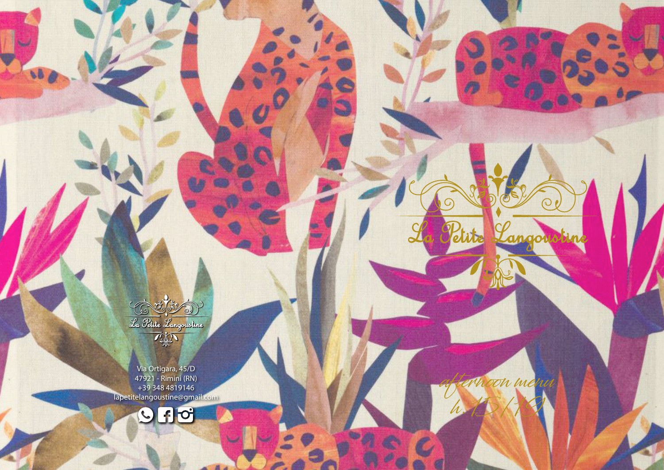不好 Via Ortigara, 45/D 47921 - Rimini (RN)

La Petite Langouotine

98

+39 348 4819146 lapetitelangoustine@gmail.com afternoon menu

angoustin

h.15/19

 $\mathcal{C}$ 

Petite